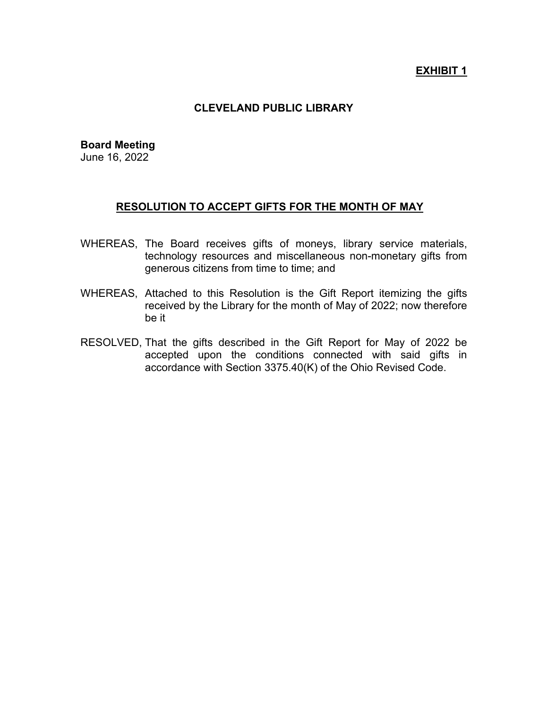## **EXHIBIT 1**

## **CLEVELAND PUBLIC LIBRARY**

#### **Board Meeting**

June 16, 2022

#### **RESOLUTION TO ACCEPT GIFTS FOR THE MONTH OF MAY**

- WHEREAS, The Board receives gifts of moneys, library service materials, technology resources and miscellaneous non-monetary gifts from generous citizens from time to time; and
- WHEREAS, Attached to this Resolution is the Gift Report itemizing the gifts received by the Library for the month of May of 2022; now therefore be it
- RESOLVED, That the gifts described in the Gift Report for May of 2022 be accepted upon the conditions connected with said gifts in accordance with Section 3375.40(K) of the Ohio Revised Code.